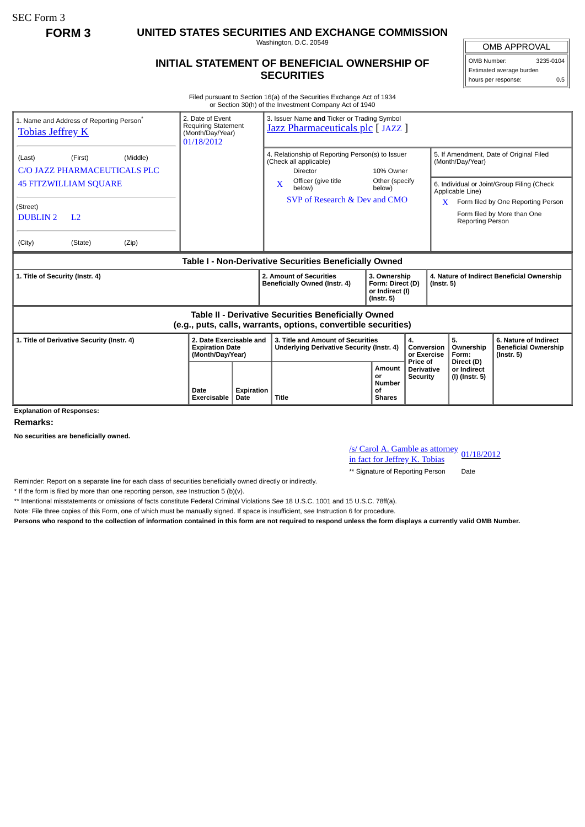SEC Form 3

**FORM 3 UNITED STATES SECURITIES AND EXCHANGE COMMISSION**

Washington, D.C. 20549

## **INITIAL STATEMENT OF BENEFICIAL OWNERSHIP OF SECURITIES**

OMB APPROVAL OMB Number: 3235-0104

Estimated average burden hours per response: 0.5

Filed pursuant to Section 16(a) of the Securities Exchange Act of 1934 or Section 30(h) of the Investment Company Act of 1940

| 2. Date of Event<br>1. Name and Address of Reporting Person <sup>®</sup><br><b>Requiring Statement</b><br><b>Tobias Jeffrey K</b><br>(Month/Day/Year)<br>01/18/2012         |                                                                       | 3. Issuer Name and Ticker or Trading Symbol<br>Jazz Pharmaceuticals plc [JAZZ ] |                                                                                                                                                                 |                                                                   |                                           |                                                                 |                                                                                                                                                            |
|-----------------------------------------------------------------------------------------------------------------------------------------------------------------------------|-----------------------------------------------------------------------|---------------------------------------------------------------------------------|-----------------------------------------------------------------------------------------------------------------------------------------------------------------|-------------------------------------------------------------------|-------------------------------------------|-----------------------------------------------------------------|------------------------------------------------------------------------------------------------------------------------------------------------------------|
| (Middle)<br>(Last)<br>(First)<br>C/O JAZZ PHARMACEUTICALS PLC<br><b>45 FITZWILLIAM SQUARE</b><br>(Street)<br><b>DUBLIN2</b><br>L <sub>2</sub><br>(State)<br>(Zip)<br>(City) |                                                                       | X                                                                               | 4. Relationship of Reporting Person(s) to Issuer<br>(Check all applicable)<br><b>Director</b><br>Officer (give title<br>below)<br>SVP of Research & Dev and CMO | 10% Owner<br>Other (specify<br>below)                             | X.                                        | (Month/Day/Year)<br>Applicable Line)<br><b>Reporting Person</b> | 5. If Amendment, Date of Original Filed<br>6. Individual or Joint/Group Filing (Check<br>Form filed by One Reporting Person<br>Form filed by More than One |
| Table I - Non-Derivative Securities Beneficially Owned                                                                                                                      |                                                                       |                                                                                 |                                                                                                                                                                 |                                                                   |                                           |                                                                 |                                                                                                                                                            |
| 1. Title of Security (Instr. 4)                                                                                                                                             |                                                                       |                                                                                 | 2. Amount of Securities<br>Beneficially Owned (Instr. 4)                                                                                                        | 3. Ownership<br>Form: Direct (D)<br>or Indirect (I)<br>(Instr. 5) |                                           | 4. Nature of Indirect Beneficial Ownership<br>$($ Instr. 5 $)$  |                                                                                                                                                            |
| <b>Table II - Derivative Securities Beneficially Owned</b><br>(e.g., puts, calls, warrants, options, convertible securities)                                                |                                                                       |                                                                                 |                                                                                                                                                                 |                                                                   |                                           |                                                                 |                                                                                                                                                            |
| 1. Title of Derivative Security (Instr. 4)                                                                                                                                  | 2. Date Exercisable and<br><b>Expiration Date</b><br>(Month/Day/Year) |                                                                                 | 3. Title and Amount of Securities<br>Underlying Derivative Security (Instr. 4)                                                                                  |                                                                   | 4.<br>Conversion<br>or Exercise           | 5.<br>Ownership<br>Form:                                        | 6. Nature of Indirect<br><b>Beneficial Ownership</b><br>$($ lnstr. 5 $)$                                                                                   |
| <b>Explanation of Responses:</b>                                                                                                                                            | Date<br><b>Expiration</b><br>Exercisable<br><b>Date</b>               | <b>Title</b>                                                                    |                                                                                                                                                                 | Amount<br>or<br><b>Number</b><br>οf<br><b>Shares</b>              | Price of<br>Derivative<br><b>Security</b> | Direct (D)<br>or Indirect<br>(I) (Instr. 5)                     |                                                                                                                                                            |

**Remarks:**

**No securities are beneficially owned.**

/s/ Carol A. Gamble as attorney in fact for Jeffrey K. Tobias 01/18/2012

\*\* Signature of Reporting Person Date

Reminder: Report on a separate line for each class of securities beneficially owned directly or indirectly.

\* If the form is filed by more than one reporting person, *see* Instruction 5 (b)(v).

\*\* Intentional misstatements or omissions of facts constitute Federal Criminal Violations *See* 18 U.S.C. 1001 and 15 U.S.C. 78ff(a).

Note: File three copies of this Form, one of which must be manually signed. If space is insufficient, *see* Instruction 6 for procedure.

**Persons who respond to the collection of information contained in this form are not required to respond unless the form displays a currently valid OMB Number.**